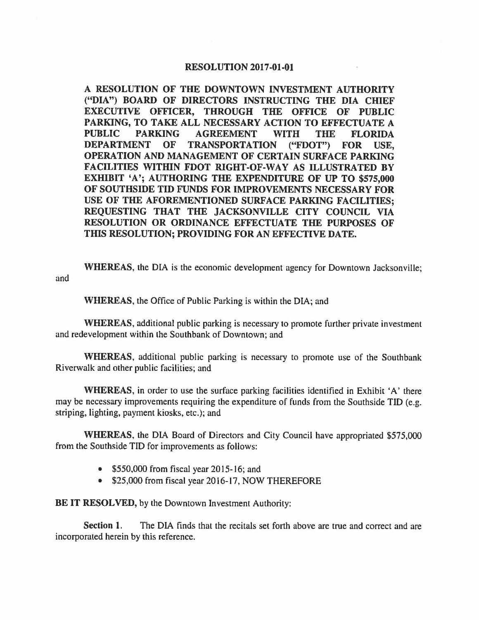## **RESOLUTION 2017-01-01**

**A RESOLUTION OF THE DOWNTOWN INVESTMENT AUTHORITY ("DIA") BOARD OF DIRECTORS INSTRUCTING THE DIA CHIEF EXECUTIVE OFFICER, THROUGH THE OFFICE OF PUBLIC PARKING, TO TAKE ALL NECESSARY ACTION TO EFFECTUATE A PUBLIC PARKING AGREEMENT WITH THE FLORIDA DEPARTMENT OF TRANSPORTATION ("FDOT") FOR USE, OPERATION AND MANAGEMENT OF CERTAIN SURFACE PARKING FACILITIES WITHIN FDOT RIGHT-OF-WAY AS ILLUSTRATED BY EXHIBIT 'A'; AUTHORING THE EXPENDITURE OF UP TO \$575,000 OF SOUTHSIDE TID FUNDS FOR IMPROVEMENTS NECESSARY FOR USE OF THE AFOREMENTIONED SURFACE PARKING FACILITIES; REQUESTING THAT THE JACKSONVILLE CITY COUNCIL VIA RESOLUTION OR ORDINANCE EFFECTUATE THE PURPOSES OF THIS RESOLUTION; PROVIDING FOR AN EFFECTIVE DATE.** 

**WHEREAS,** the DIA is the economic development agency for Downtown Jacksonville; and

**WHEREAS,** the Office of Public Parking is within the DIA; and

**WHEREAS,** additional public parking is necessary to promote further private investment and redevelopment within the Southbank of Downtown; and

**WHEREAS,** additional public parking is necessary to promote use of the Southbank Riverwalk and other public facilities; and

**WHEREAS,** in order to use the surface parking facilities identified in Exhibit 'A' there may be necessary improvements requiring the expenditure of funds from the Southside TIO (e.g. striping, lighting, payment kiosks, etc.); and

**WHEREAS,** the DIA Board of Directors and City Council have appropriated \$575,000 from the Southside TIO for improvements as follows:

- \$550,000 from fiscal year 2015-16; and
- \$25,000 from fiscal year 2016-17, NOW THEREFORE

**BE IT RESOLVED,** by the Downtown Investment Authority:

Section 1. The DIA finds that the recitals set forth above are true and correct and are incorporated herein by this reference.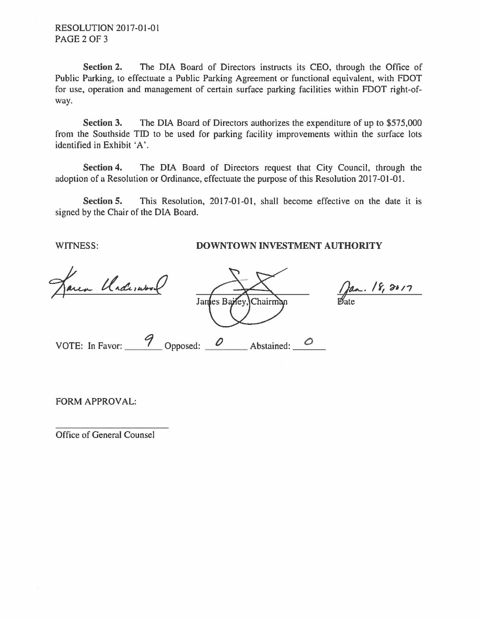**Section 2.** The DIA Board of Directors instructs its CEO, through the Office of Public Parking, to effectuate a Public Parking Agreement or functional equivalent, with FOOT for use, operation and management of certain surface parking facilities within FOOT right-ofway.

**Section 3.** The DIA Board of Directors authorizes the expenditure of up to \$575,000 from the Southside TID to be used for parking facility improvements within the surface lots identified in Exhibit 'A'.

**Section 4.** The DIA Board of Directors request that City Council, through the adoption of a Resolution or Ordinance, effectuate the purpose of this Resolution 2017-01-01.

**Section 5.** This Resolution, 2017-01-01, shall become effective on the date it is signed by the Chair of the DIA Board.

## WITNESS: **DOWNTOWN INVESTMENT AUTHORITY**

Underwise

James Bailey Chairman VOTE: In Favor:  $\frac{9}{2}$  Opposed:  $\frac{0}{2}$  Abstained:  $\frac{0}{2}$ 

 $\int$ an. 18, 2017 ate

FORM APPROVAL:

Office of General Counsel